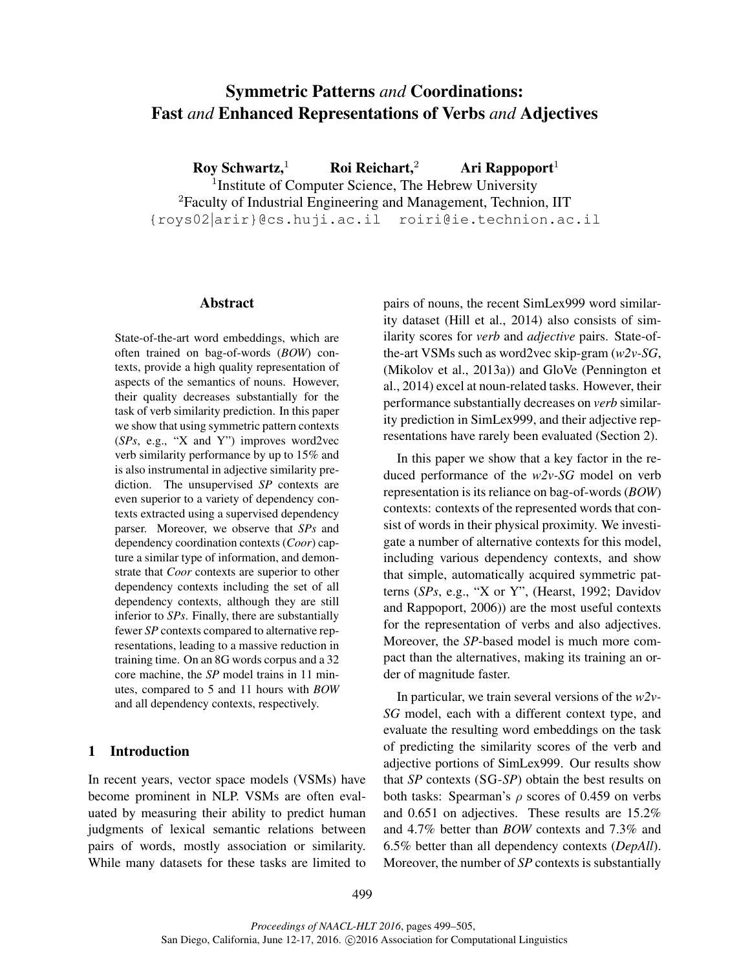# Symmetric Patterns *and* Coordinations: Fast *and* Enhanced Representations of Verbs *and* Adjectives

Roy Schwartz,<sup>1</sup> Roi Reichart,<sup>2</sup> Ari Rappoport $<sup>1</sup>$ </sup>

<sup>1</sup>Institute of Computer Science, The Hebrew University <sup>2</sup>Faculty of Industrial Engineering and Management, Technion, IIT {roys02|arir}@cs.huji.ac.il roiri@ie.technion.ac.il

#### Abstract

State-of-the-art word embeddings, which are often trained on bag-of-words (*BOW*) contexts, provide a high quality representation of aspects of the semantics of nouns. However, their quality decreases substantially for the task of verb similarity prediction. In this paper we show that using symmetric pattern contexts (*SPs*, e.g., "X and Y") improves word2vec verb similarity performance by up to 15% and is also instrumental in adjective similarity prediction. The unsupervised *SP* contexts are even superior to a variety of dependency contexts extracted using a supervised dependency parser. Moreover, we observe that *SPs* and dependency coordination contexts (*Coor*) capture a similar type of information, and demonstrate that *Coor* contexts are superior to other dependency contexts including the set of all dependency contexts, although they are still inferior to *SPs*. Finally, there are substantially fewer *SP* contexts compared to alternative representations, leading to a massive reduction in training time. On an 8G words corpus and a 32 core machine, the *SP* model trains in 11 minutes, compared to 5 and 11 hours with *BOW* and all dependency contexts, respectively.

## 1 Introduction

In recent years, vector space models (VSMs) have become prominent in NLP. VSMs are often evaluated by measuring their ability to predict human judgments of lexical semantic relations between pairs of words, mostly association or similarity. While many datasets for these tasks are limited to pairs of nouns, the recent SimLex999 word similarity dataset (Hill et al., 2014) also consists of similarity scores for *verb* and *adjective* pairs. State-ofthe-art VSMs such as word2vec skip-gram (*w2v-SG*, (Mikolov et al., 2013a)) and GloVe (Pennington et al., 2014) excel at noun-related tasks. However, their performance substantially decreases on *verb* similarity prediction in SimLex999, and their adjective representations have rarely been evaluated (Section 2).

In this paper we show that a key factor in the reduced performance of the *w2v-SG* model on verb representation is its reliance on bag-of-words (*BOW*) contexts: contexts of the represented words that consist of words in their physical proximity. We investigate a number of alternative contexts for this model, including various dependency contexts, and show that simple, automatically acquired symmetric patterns (*SPs*, e.g., "X or Y", (Hearst, 1992; Davidov and Rappoport, 2006)) are the most useful contexts for the representation of verbs and also adjectives. Moreover, the *SP*-based model is much more compact than the alternatives, making its training an order of magnitude faster.

In particular, we train several versions of the *w2v-SG* model, each with a different context type, and evaluate the resulting word embeddings on the task of predicting the similarity scores of the verb and adjective portions of SimLex999. Our results show that *SP* contexts (SG-*SP*) obtain the best results on both tasks: Spearman's  $\rho$  scores of 0.459 on verbs and 0.651 on adjectives. These results are 15.2% and 4.7% better than *BOW* contexts and 7.3% and 6.5% better than all dependency contexts (*DepAll*). Moreover, the number of *SP* contexts is substantially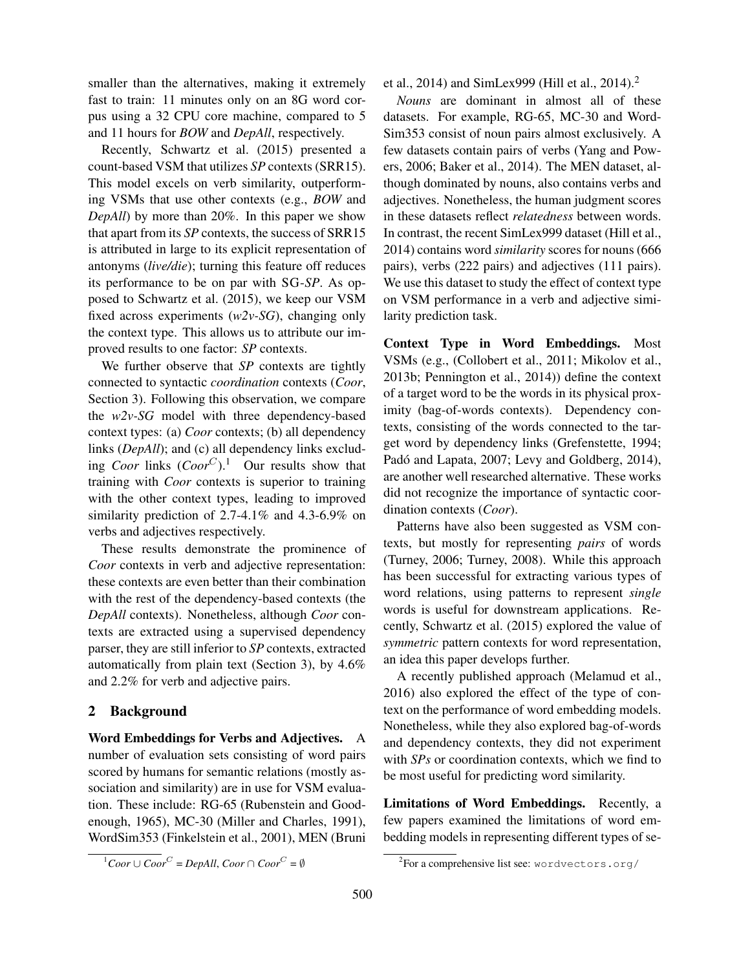smaller than the alternatives, making it extremely fast to train: 11 minutes only on an 8G word corpus using a 32 CPU core machine, compared to 5 and 11 hours for *BOW* and *DepAll*, respectively.

Recently, Schwartz et al. (2015) presented a count-based VSM that utilizes *SP* contexts (SRR15). This model excels on verb similarity, outperforming VSMs that use other contexts (e.g., *BOW* and *DepAll*) by more than 20%. In this paper we show that apart from its *SP* contexts, the success of SRR15 is attributed in large to its explicit representation of antonyms (*live/die*); turning this feature off reduces its performance to be on par with SG-*SP*. As opposed to Schwartz et al. (2015), we keep our VSM fixed across experiments (*w2v-SG*), changing only the context type. This allows us to attribute our improved results to one factor: *SP* contexts.

We further observe that *SP* contexts are tightly connected to syntactic *coordination* contexts (*Coor*, Section 3). Following this observation, we compare the *w2v-SG* model with three dependency-based context types: (a) *Coor* contexts; (b) all dependency links (*DepAll*); and (c) all dependency links excluding *Coor* links  $(Coor^C)$ .<sup>1</sup> Our results show that training with *Coor* contexts is superior to training with the other context types, leading to improved similarity prediction of 2.7-4.1% and 4.3-6.9% on verbs and adjectives respectively.

These results demonstrate the prominence of *Coor* contexts in verb and adjective representation: these contexts are even better than their combination with the rest of the dependency-based contexts (the *DepAll* contexts). Nonetheless, although *Coor* contexts are extracted using a supervised dependency parser, they are still inferior to *SP* contexts, extracted automatically from plain text (Section 3), by 4.6% and 2.2% for verb and adjective pairs.

# 2 Background

Word Embeddings for Verbs and Adjectives. A number of evaluation sets consisting of word pairs scored by humans for semantic relations (mostly association and similarity) are in use for VSM evaluation. These include: RG-65 (Rubenstein and Goodenough, 1965), MC-30 (Miller and Charles, 1991), WordSim353 (Finkelstein et al., 2001), MEN (Bruni et al., 2014) and SimLex999 (Hill et al., 2014).<sup>2</sup>

*Nouns* are dominant in almost all of these datasets. For example, RG-65, MC-30 and Word-Sim353 consist of noun pairs almost exclusively. A few datasets contain pairs of verbs (Yang and Powers, 2006; Baker et al., 2014). The MEN dataset, although dominated by nouns, also contains verbs and adjectives. Nonetheless, the human judgment scores in these datasets reflect *relatedness* between words. In contrast, the recent SimLex999 dataset (Hill et al., 2014) contains word *similarity* scores for nouns (666 pairs), verbs (222 pairs) and adjectives (111 pairs). We use this dataset to study the effect of context type on VSM performance in a verb and adjective similarity prediction task.

Context Type in Word Embeddings. Most VSMs (e.g., (Collobert et al., 2011; Mikolov et al., 2013b; Pennington et al., 2014)) define the context of a target word to be the words in its physical proximity (bag-of-words contexts). Dependency contexts, consisting of the words connected to the target word by dependency links (Grefenstette, 1994; Padó and Lapata, 2007; Levy and Goldberg, 2014), are another well researched alternative. These works did not recognize the importance of syntactic coordination contexts (*Coor*).

Patterns have also been suggested as VSM contexts, but mostly for representing *pairs* of words (Turney, 2006; Turney, 2008). While this approach has been successful for extracting various types of word relations, using patterns to represent *single* words is useful for downstream applications. Recently, Schwartz et al. (2015) explored the value of *symmetric* pattern contexts for word representation, an idea this paper develops further.

A recently published approach (Melamud et al., 2016) also explored the effect of the type of context on the performance of word embedding models. Nonetheless, while they also explored bag-of-words and dependency contexts, they did not experiment with *SPs* or coordination contexts, which we find to be most useful for predicting word similarity.

Limitations of Word Embeddings. Recently, a few papers examined the limitations of word embedding models in representing different types of se-

<sup>&</sup>lt;sup>1</sup>Coor∪ Coor<sup>C</sup> = DepAll, Coor ∩ Coor<sup>C</sup> = ∅

 $^{2}$ For a comprehensive list see: wordvectors.org/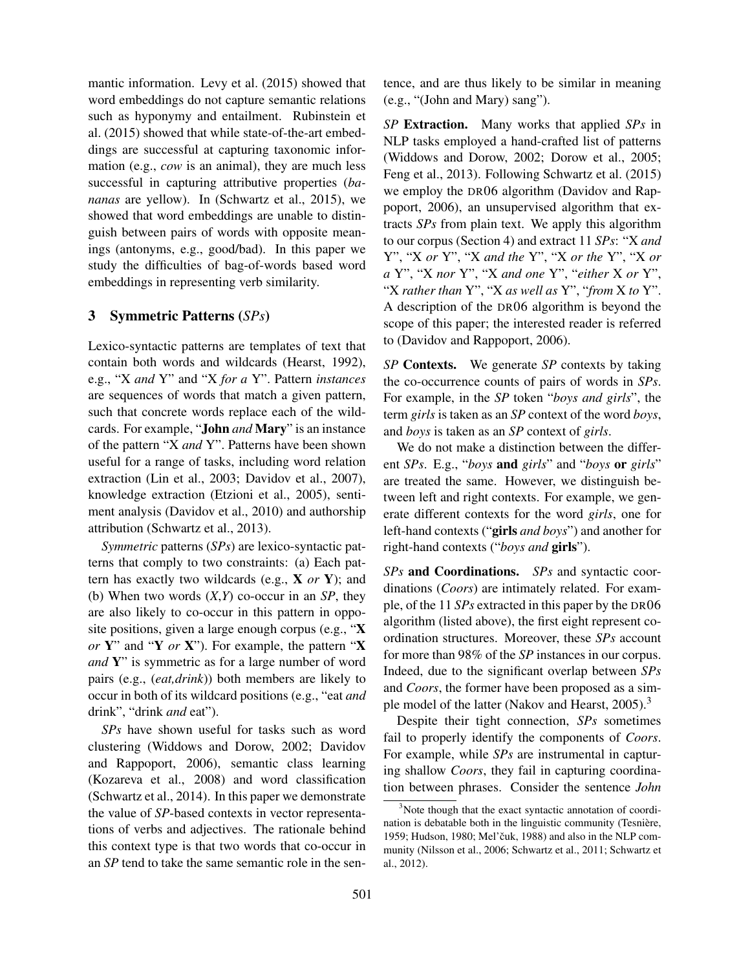mantic information. Levy et al. (2015) showed that word embeddings do not capture semantic relations such as hyponymy and entailment. Rubinstein et al. (2015) showed that while state-of-the-art embeddings are successful at capturing taxonomic information (e.g., *cow* is an animal), they are much less successful in capturing attributive properties (*bananas* are yellow). In (Schwartz et al., 2015), we showed that word embeddings are unable to distinguish between pairs of words with opposite meanings (antonyms, e.g., good/bad). In this paper we study the difficulties of bag-of-words based word embeddings in representing verb similarity.

# 3 Symmetric Patterns (*SPs*)

Lexico-syntactic patterns are templates of text that contain both words and wildcards (Hearst, 1992), e.g., "X *and* Y" and "X *for a* Y". Pattern *instances* are sequences of words that match a given pattern, such that concrete words replace each of the wildcards. For example, "John *and* Mary" is an instance of the pattern "X *and* Y". Patterns have been shown useful for a range of tasks, including word relation extraction (Lin et al., 2003; Davidov et al., 2007), knowledge extraction (Etzioni et al., 2005), sentiment analysis (Davidov et al., 2010) and authorship attribution (Schwartz et al., 2013).

*Symmetric* patterns (*SPs*) are lexico-syntactic patterns that comply to two constraints: (a) Each pattern has exactly two wildcards (e.g., X *or* Y); and (b) When two words (*X*,*Y*) co-occur in an *SP*, they are also likely to co-occur in this pattern in opposite positions, given a large enough corpus (e.g., "X *or* Y" and "Y *or* X"). For example, the pattern "X *and* Y" is symmetric as for a large number of word pairs (e.g., (*eat,drink*)) both members are likely to occur in both of its wildcard positions (e.g., "eat *and* drink", "drink *and* eat").

*SPs* have shown useful for tasks such as word clustering (Widdows and Dorow, 2002; Davidov and Rappoport, 2006), semantic class learning (Kozareva et al., 2008) and word classification (Schwartz et al., 2014). In this paper we demonstrate the value of *SP*-based contexts in vector representations of verbs and adjectives. The rationale behind this context type is that two words that co-occur in an *SP* tend to take the same semantic role in the sentence, and are thus likely to be similar in meaning (e.g., "(John and Mary) sang").

*SP* Extraction. Many works that applied *SPs* in NLP tasks employed a hand-crafted list of patterns (Widdows and Dorow, 2002; Dorow et al., 2005; Feng et al., 2013). Following Schwartz et al. (2015) we employ the DR06 algorithm (Davidov and Rappoport, 2006), an unsupervised algorithm that extracts *SPs* from plain text. We apply this algorithm to our corpus (Section 4) and extract 11 *SPs*: "X *and* Y", "X *or* Y", "X *and the* Y", "X *or the* Y", "X *or a* Y", "X *nor* Y", "X *and one* Y", "*either* X *or* Y", "X *rather than* Y", "X *as well as* Y", "*from* X *to* Y". A description of the DR06 algorithm is beyond the scope of this paper; the interested reader is referred to (Davidov and Rappoport, 2006).

*SP* Contexts. We generate *SP* contexts by taking the co-occurrence counts of pairs of words in *SPs*. For example, in the *SP* token "*boys and girls*", the term *girls* is taken as an *SP* context of the word *boys*, and *boys* is taken as an *SP* context of *girls*.

We do not make a distinction between the different *SPs*. E.g., "*boys* and *girls*" and "*boys* or *girls*" are treated the same. However, we distinguish between left and right contexts. For example, we generate different contexts for the word *girls*, one for left-hand contexts ("girls *and boys*") and another for right-hand contexts ("*boys and* girls").

*SPs* and Coordinations. *SPs* and syntactic coordinations (*Coors*) are intimately related. For example, of the 11 *SPs* extracted in this paper by the DR06 algorithm (listed above), the first eight represent coordination structures. Moreover, these *SPs* account for more than 98% of the *SP* instances in our corpus. Indeed, due to the significant overlap between *SPs* and *Coors*, the former have been proposed as a simple model of the latter (Nakov and Hearst, 2005).<sup>3</sup>

Despite their tight connection, *SPs* sometimes fail to properly identify the components of *Coors*. For example, while *SPs* are instrumental in capturing shallow *Coors*, they fail in capturing coordination between phrases. Consider the sentence *John*

<sup>&</sup>lt;sup>3</sup>Note though that the exact syntactic annotation of coordination is debatable both in the linguistic community (Tesnière, 1959; Hudson, 1980; Mel'čuk, 1988) and also in the NLP community (Nilsson et al., 2006; Schwartz et al., 2011; Schwartz et al., 2012).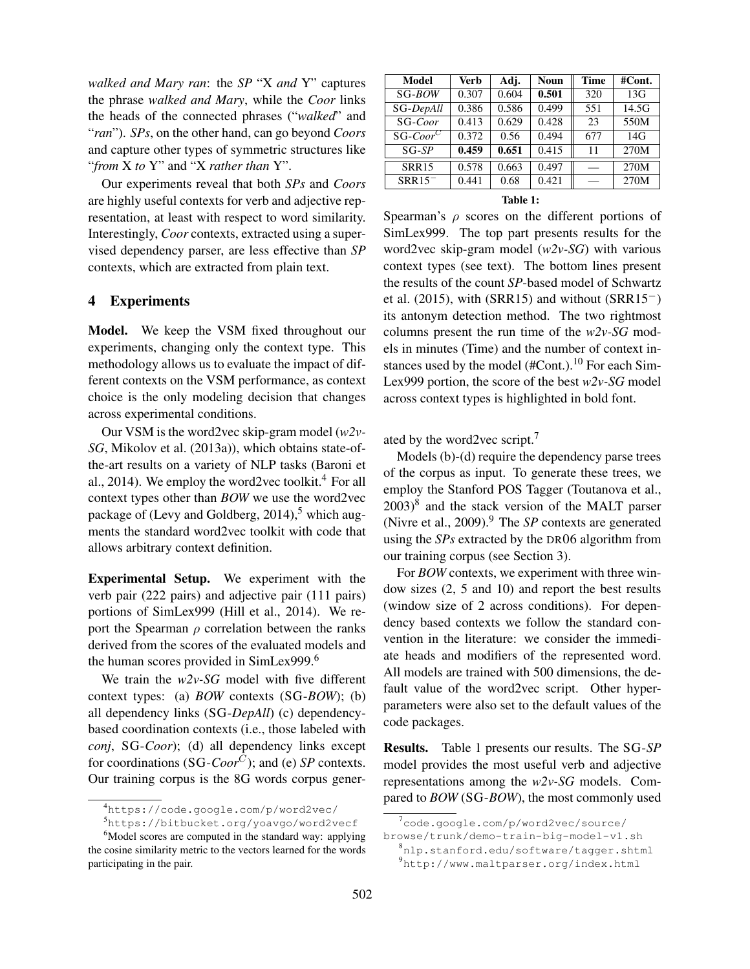*walked and Mary ran*: the *SP* "X *and* Y" captures the phrase *walked and Mary*, while the *Coor* links the heads of the connected phrases ("*walked*" and "*ran*"). *SPs*, on the other hand, can go beyond *Coors* and capture other types of symmetric structures like "*from* X *to* Y" and "X *rather than* Y".

Our experiments reveal that both *SPs* and *Coors* are highly useful contexts for verb and adjective representation, at least with respect to word similarity. Interestingly, *Coor* contexts, extracted using a supervised dependency parser, are less effective than *SP* contexts, which are extracted from plain text.

#### 4 Experiments

Model. We keep the VSM fixed throughout our experiments, changing only the context type. This methodology allows us to evaluate the impact of different contexts on the VSM performance, as context choice is the only modeling decision that changes across experimental conditions.

Our VSM is the word2vec skip-gram model (*w2v-SG*, Mikolov et al. (2013a)), which obtains state-ofthe-art results on a variety of NLP tasks (Baroni et al., 2014). We employ the word2vec toolkit.<sup>4</sup> For all context types other than *BOW* we use the word2vec package of (Levy and Goldberg,  $2014$ ),<sup>5</sup> which augments the standard word2vec toolkit with code that allows arbitrary context definition.

Experimental Setup. We experiment with the verb pair (222 pairs) and adjective pair (111 pairs) portions of SimLex999 (Hill et al., 2014). We report the Spearman  $\rho$  correlation between the ranks derived from the scores of the evaluated models and the human scores provided in SimLex999.<sup>6</sup>

We train the *w2v-SG* model with five different context types: (a) *BOW* contexts (SG-*BOW*); (b) all dependency links (SG-*DepAll*) (c) dependencybased coordination contexts (i.e., those labeled with *conj*, SG-*Coor*); (d) all dependency links except for coordinations (SG-*Coor*C); and (e) *SP* contexts. Our training corpus is the 8G words corpus gener-

| Model          | Verb  | Adj.  | <b>Noun</b> | Time | #Cont. |
|----------------|-------|-------|-------------|------|--------|
| $SG-BOW$       | 0.307 | 0.604 | 0.501       | 320  | 13G    |
| SG-DepAll      | 0.386 | 0.586 | 0.499       | 551  | 14.5G  |
| SG-Coor        | 0.413 | 0.629 | 0.428       | 23   | 550M   |
| $SG$ -Coor $C$ | 0.372 | 0.56  | 0.494       | 677  | 14G    |
| $SG-SP$        | 0.459 | 0.651 | 0.415       | 11   | 270M   |
| <b>SRR15</b>   | 0.578 | 0.663 | 0.497       |      | 270M   |
| $SRR15^-$      | 0.441 | 0.68  | 0.421       |      | 270M   |

#### Table 1:

Spearman's  $\rho$  scores on the different portions of SimLex999. The top part presents results for the word2vec skip-gram model (*w2v-SG*) with various context types (see text). The bottom lines present the results of the count *SP*-based model of Schwartz et al. (2015), with (SRR15) and without (SRR15−) its antonym detection method. The two rightmost columns present the run time of the *w2v-SG* models in minutes (Time) and the number of context instances used by the model  $(\text{\#Cont.})$ .<sup>10</sup> For each Sim-Lex999 portion, the score of the best *w2v-SG* model across context types is highlighted in bold font.

ated by the word2vec script.<sup>7</sup>

Models (b)-(d) require the dependency parse trees of the corpus as input. To generate these trees, we employ the Stanford POS Tagger (Toutanova et al.,  $(2003)^8$  and the stack version of the MALT parser (Nivre et al., 2009). $9$  The *SP* contexts are generated using the *SPs* extracted by the DR06 algorithm from our training corpus (see Section 3).

For *BOW* contexts, we experiment with three window sizes (2, 5 and 10) and report the best results (window size of 2 across conditions). For dependency based contexts we follow the standard convention in the literature: we consider the immediate heads and modifiers of the represented word. All models are trained with 500 dimensions, the default value of the word2vec script. Other hyperparameters were also set to the default values of the code packages.

Results. Table 1 presents our results. The SG-*SP* model provides the most useful verb and adjective representations among the *w2v-SG* models. Compared to *BOW* (SG-*BOW*), the most commonly used

<sup>4</sup>https://code.google.com/p/word2vec/

<sup>5</sup>https://bitbucket.org/yoavgo/word2vecf

<sup>&</sup>lt;sup>6</sup>Model scores are computed in the standard way: applying the cosine similarity metric to the vectors learned for the words participating in the pair.

<sup>7</sup>code.google.com/p/word2vec/source/

browse/trunk/demo-train-big-model-v1.sh

<sup>8</sup>nlp.stanford.edu/software/tagger.shtml <sup>9</sup>http://www.maltparser.org/index.html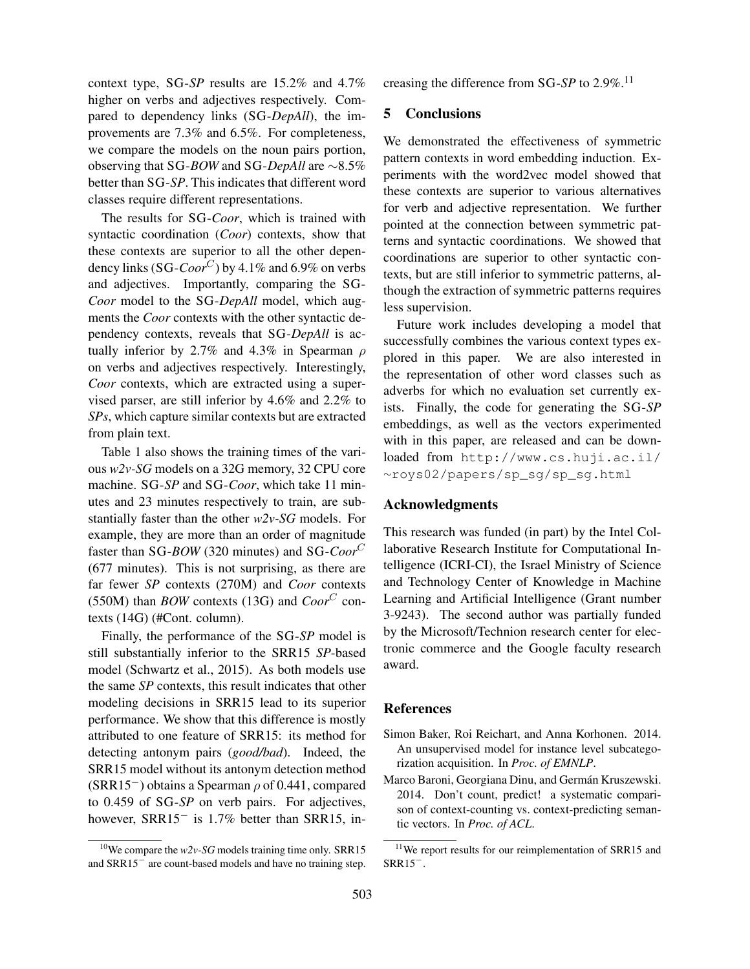context type, SG-*SP* results are 15.2% and 4.7% higher on verbs and adjectives respectively. Compared to dependency links (SG-*DepAll*), the improvements are 7.3% and 6.5%. For completeness, we compare the models on the noun pairs portion, observing that SG-*BOW* and SG-*DepAll* are ∼8.5% better than SG-*SP*. This indicates that different word classes require different representations.

The results for SG-*Coor*, which is trained with syntactic coordination (*Coor*) contexts, show that these contexts are superior to all the other dependency links  $(SG\text{-}Coor^C)$  by 4.1% and 6.9% on verbs and adjectives. Importantly, comparing the SG-*Coor* model to the SG-*DepAll* model, which augments the *Coor* contexts with the other syntactic dependency contexts, reveals that SG-*DepAll* is actually inferior by 2.7% and 4.3% in Spearman  $\rho$ on verbs and adjectives respectively. Interestingly, *Coor* contexts, which are extracted using a supervised parser, are still inferior by 4.6% and 2.2% to *SPs*, which capture similar contexts but are extracted from plain text.

Table 1 also shows the training times of the various *w2v-SG* models on a 32G memory, 32 CPU core machine. SG-*SP* and SG-*Coor*, which take 11 minutes and 23 minutes respectively to train, are substantially faster than the other *w2v-SG* models. For example, they are more than an order of magnitude faster than SG-*BOW* (320 minutes) and SG-*Coor*<sup>C</sup> (677 minutes). This is not surprising, as there are far fewer *SP* contexts (270M) and *Coor* contexts (550M) than *BOW* contexts (13G) and  $Coor^C$  contexts (14G) (#Cont. column).

Finally, the performance of the SG-*SP* model is still substantially inferior to the SRR15 *SP*-based model (Schwartz et al., 2015). As both models use the same *SP* contexts, this result indicates that other modeling decisions in SRR15 lead to its superior performance. We show that this difference is mostly attributed to one feature of SRR15: its method for detecting antonym pairs (*good/bad*). Indeed, the SRR15 model without its antonym detection method (SRR15<sup>-</sup>) obtains a Spearman  $\rho$  of 0.441, compared to 0.459 of SG-*SP* on verb pairs. For adjectives, however, SRR15− is 1.7% better than SRR15, in-

<sup>10</sup>We compare the  $w2v$ -SG models training time only. SRR15 and SRR15<sup>−</sup> are count-based models and have no training step.

creasing the difference from SG-*SP* to  $2.9\%$ <sup>11</sup>

# 5 Conclusions

We demonstrated the effectiveness of symmetric pattern contexts in word embedding induction. Experiments with the word2vec model showed that these contexts are superior to various alternatives for verb and adjective representation. We further pointed at the connection between symmetric patterns and syntactic coordinations. We showed that coordinations are superior to other syntactic contexts, but are still inferior to symmetric patterns, although the extraction of symmetric patterns requires less supervision.

Future work includes developing a model that successfully combines the various context types explored in this paper. We are also interested in the representation of other word classes such as adverbs for which no evaluation set currently exists. Finally, the code for generating the SG-*SP* embeddings, as well as the vectors experimented with in this paper, are released and can be downloaded from http://www.cs.huji.ac.il/ <sup>∼</sup>roys02/papers/sp\_sg/sp\_sg.html

#### Acknowledgments

This research was funded (in part) by the Intel Collaborative Research Institute for Computational Intelligence (ICRI-CI), the Israel Ministry of Science and Technology Center of Knowledge in Machine Learning and Artificial Intelligence (Grant number 3-9243). The second author was partially funded by the Microsoft/Technion research center for electronic commerce and the Google faculty research award.

### References

- Simon Baker, Roi Reichart, and Anna Korhonen. 2014. An unsupervised model for instance level subcategorization acquisition. In *Proc. of EMNLP*.
- Marco Baroni, Georgiana Dinu, and Germán Kruszewski. 2014. Don't count, predict! a systematic comparison of context-counting vs. context-predicting semantic vectors. In *Proc. of ACL*.

 $11$ We report results for our reimplementation of SRR15 and SRR15−.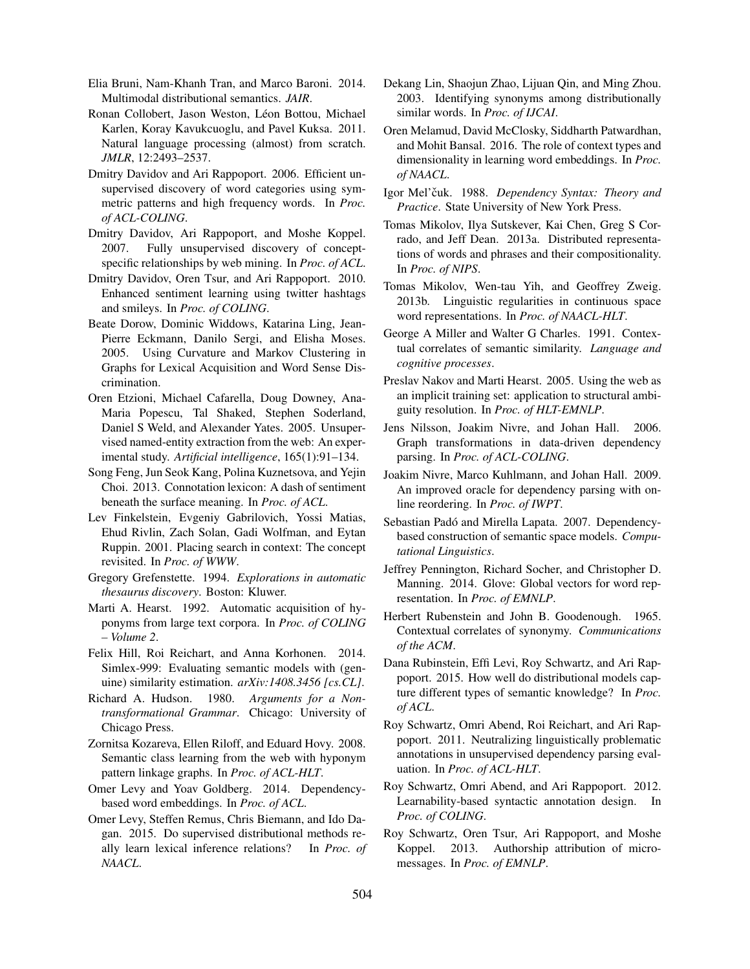- Elia Bruni, Nam-Khanh Tran, and Marco Baroni. 2014. Multimodal distributional semantics. *JAIR*.
- Ronan Collobert, Jason Weston, Léon Bottou, Michael Karlen, Koray Kavukcuoglu, and Pavel Kuksa. 2011. Natural language processing (almost) from scratch. *JMLR*, 12:2493–2537.
- Dmitry Davidov and Ari Rappoport. 2006. Efficient unsupervised discovery of word categories using symmetric patterns and high frequency words. In *Proc. of ACL-COLING*.
- Dmitry Davidov, Ari Rappoport, and Moshe Koppel. 2007. Fully unsupervised discovery of conceptspecific relationships by web mining. In *Proc. of ACL*.
- Dmitry Davidov, Oren Tsur, and Ari Rappoport. 2010. Enhanced sentiment learning using twitter hashtags and smileys. In *Proc. of COLING*.
- Beate Dorow, Dominic Widdows, Katarina Ling, Jean-Pierre Eckmann, Danilo Sergi, and Elisha Moses. 2005. Using Curvature and Markov Clustering in Graphs for Lexical Acquisition and Word Sense Discrimination.
- Oren Etzioni, Michael Cafarella, Doug Downey, Ana-Maria Popescu, Tal Shaked, Stephen Soderland, Daniel S Weld, and Alexander Yates. 2005. Unsupervised named-entity extraction from the web: An experimental study. *Artificial intelligence*, 165(1):91–134.
- Song Feng, Jun Seok Kang, Polina Kuznetsova, and Yejin Choi. 2013. Connotation lexicon: A dash of sentiment beneath the surface meaning. In *Proc. of ACL*.
- Lev Finkelstein, Evgeniy Gabrilovich, Yossi Matias, Ehud Rivlin, Zach Solan, Gadi Wolfman, and Eytan Ruppin. 2001. Placing search in context: The concept revisited. In *Proc. of WWW*.
- Gregory Grefenstette. 1994. *Explorations in automatic thesaurus discovery*. Boston: Kluwer.
- Marti A. Hearst. 1992. Automatic acquisition of hyponyms from large text corpora. In *Proc. of COLING – Volume 2*.
- Felix Hill, Roi Reichart, and Anna Korhonen. 2014. Simlex-999: Evaluating semantic models with (genuine) similarity estimation. *arXiv:1408.3456 [cs.CL]*.
- Richard A. Hudson. 1980. *Arguments for a Nontransformational Grammar*. Chicago: University of Chicago Press.
- Zornitsa Kozareva, Ellen Riloff, and Eduard Hovy. 2008. Semantic class learning from the web with hyponym pattern linkage graphs. In *Proc. of ACL-HLT*.
- Omer Levy and Yoav Goldberg. 2014. Dependencybased word embeddings. In *Proc. of ACL*.
- Omer Levy, Steffen Remus, Chris Biemann, and Ido Dagan. 2015. Do supervised distributional methods really learn lexical inference relations? In *Proc. of NAACL*.
- Dekang Lin, Shaojun Zhao, Lijuan Qin, and Ming Zhou. 2003. Identifying synonyms among distributionally similar words. In *Proc. of IJCAI*.
- Oren Melamud, David McClosky, Siddharth Patwardhan, and Mohit Bansal. 2016. The role of context types and dimensionality in learning word embeddings. In *Proc. of NAACL*.
- Igor Mel'čuk. 1988. Dependency Syntax: Theory and *Practice*. State University of New York Press.
- Tomas Mikolov, Ilya Sutskever, Kai Chen, Greg S Corrado, and Jeff Dean. 2013a. Distributed representations of words and phrases and their compositionality. In *Proc. of NIPS*.
- Tomas Mikolov, Wen-tau Yih, and Geoffrey Zweig. 2013b. Linguistic regularities in continuous space word representations. In *Proc. of NAACL-HLT*.
- George A Miller and Walter G Charles. 1991. Contextual correlates of semantic similarity. *Language and cognitive processes*.
- Preslav Nakov and Marti Hearst. 2005. Using the web as an implicit training set: application to structural ambiguity resolution. In *Proc. of HLT-EMNLP*.
- Jens Nilsson, Joakim Nivre, and Johan Hall. 2006. Graph transformations in data-driven dependency parsing. In *Proc. of ACL-COLING*.
- Joakim Nivre, Marco Kuhlmann, and Johan Hall. 2009. An improved oracle for dependency parsing with online reordering. In *Proc. of IWPT*.
- Sebastian Padó and Mirella Lapata. 2007. Dependencybased construction of semantic space models. *Computational Linguistics*.
- Jeffrey Pennington, Richard Socher, and Christopher D. Manning. 2014. Glove: Global vectors for word representation. In *Proc. of EMNLP*.
- Herbert Rubenstein and John B. Goodenough. 1965. Contextual correlates of synonymy. *Communications of the ACM*.
- Dana Rubinstein, Effi Levi, Roy Schwartz, and Ari Rappoport. 2015. How well do distributional models capture different types of semantic knowledge? In *Proc. of ACL*.
- Roy Schwartz, Omri Abend, Roi Reichart, and Ari Rappoport. 2011. Neutralizing linguistically problematic annotations in unsupervised dependency parsing evaluation. In *Proc. of ACL-HLT*.
- Roy Schwartz, Omri Abend, and Ari Rappoport. 2012. Learnability-based syntactic annotation design. In *Proc. of COLING*.
- Roy Schwartz, Oren Tsur, Ari Rappoport, and Moshe Koppel. 2013. Authorship attribution of micromessages. In *Proc. of EMNLP*.